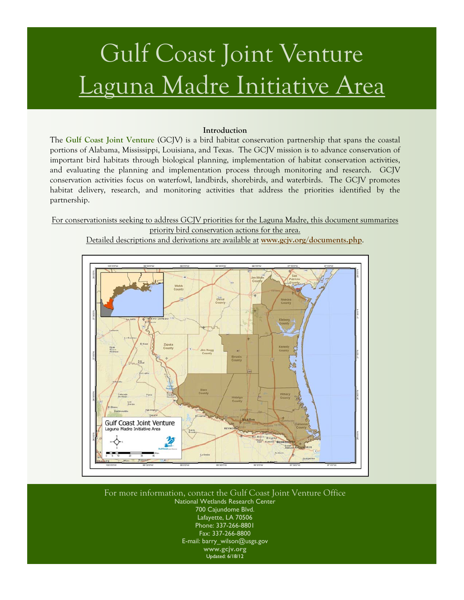# Gulf Coast Joint Venture Laguna Madre Initiative Area

#### **Introduction**

The **[Gulf Coast Joint Venture](http://www.gcjv.org/)** (GCJV) is a bird habitat conservation partnership that spans the coastal portions of Alabama, Mississippi, Louisiana, and Texas. The GCJV mission is to advance conservation of important bird habitats through biological planning, implementation of habitat conservation activities, and evaluating the planning and implementation process through monitoring and research. GCJV conservation activities focus on waterfowl, landbirds, shorebirds, and waterbirds. The GCJV promotes habitat delivery, research, and monitoring activities that address the priorities identified by the partnership.

For conservationists seeking to address GCJV priorities for the Laguna Madre, this document summarizes priority bird conservation actions for the area.

Detailed descriptions and derivations are available at **[www.gcjv.org/documents.php](http://www.gcjv.org/documents.php)**.



For more information, contact the Gulf Coast Joint Venture Office National Wetlands Research Center 700 Cajundome Blvd. Lafayette, LA 70506 Phone: 337-266-8801 Fax: 337-266-8800 E-mail: barry\_wilson@usgs.gov **[www.gcjv.org](http://www.gcjv.org/)**  Updated: 6/18/12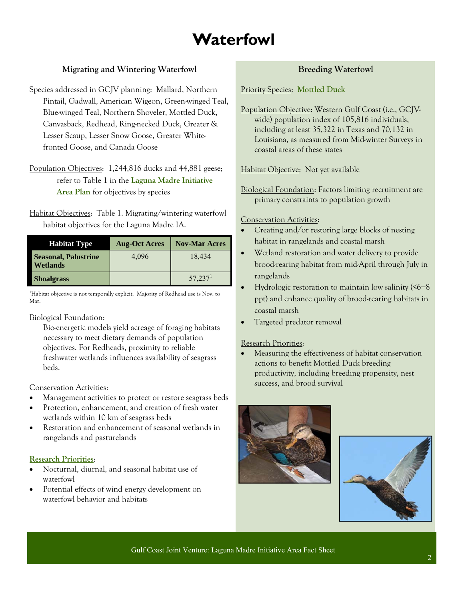# **Waterfowl**

# **Migrating and Wintering Waterfowl**

- Species addressed in GCJV planning: Mallard, Northern Pintail, Gadwall, American Wigeon, Green-winged Teal, Blue-winged Teal, Northern Shoveler, Mottled Duck, Canvasback, Redhead, Ring-necked Duck, Greater & Lesser Scaup, Lesser Snow Goose, Greater Whitefronted Goose, and Canada Goose
- Population Objectives: 1,244,816 ducks and 44,881 geese; refer to Table 1 in the **[Laguna Madre Initiative](http://www.gcjv.org/docs/LagunaMadrepub.pdf)  [Area Plan](http://www.gcjv.org/docs/LagunaMadrepub.pdf)** for objectives by species
- Habitat Objectives: Table 1. Migrating/wintering waterfowl habitat objectives for the Laguna Madre IA.

| <b>Habitat Type</b>                            | <b>Aug-Oct Acres</b> | <b>Nov-Mar Acres</b> |
|------------------------------------------------|----------------------|----------------------|
| <b>Seasonal, Palustrine</b><br><b>Wetlands</b> | 4.096                | 18,434               |
| <b>Shoalgrass</b>                              |                      | 57,237 <sup>1</sup>  |

<sup>1</sup>Habitat objective is not temporally explicit. Majority of Redhead use is Nov. to Mar.

### Biological Foundation:

 Bio-energetic models yield acreage of foraging habitats necessary to meet dietary demands of population objectives. For Redheads, proximity to reliable freshwater wetlands influences availability of seagrass beds.

# Conservation Activities:

- Management activities to protect or restore seagrass beds
- Protection, enhancement, and creation of fresh water wetlands within 10 km of seagrass beds
- Restoration and enhancement of seasonal wetlands in rangelands and pasturelands

# **[Research Priorities](http://www.gcjv.org/docs/GCJV Waterfowl Science Needs Plan - May 2012.pdf)**:

- Nocturnal, diurnal, and seasonal habitat use of waterfowl
- Potential effects of wind energy development on waterfowl behavior and habitats

# **Breeding Waterfowl**

Priority Species: **[Mottled Duck](http://www.gcjv.org/docs/GCJV MODU Cons Plan.pdf)**

Population Objective: Western Gulf Coast (i.e., GCJVwide) population index of 105,816 individuals, including at least 35,322 in Texas and 70,132 in Louisiana, as measured from Mid-winter Surveys in coastal areas of these states

Habitat Objective: Not yet available

Biological Foundation: Factors limiting recruitment are primary constraints to population growth

## Conservation Activities:

- Creating and/or restoring large blocks of nesting habitat in rangelands and coastal marsh
- Wetland restoration and water delivery to provide brood-rearing habitat from mid-April through July in rangelands
- Hydrologic restoration to maintain low salinity (<6−8 ppt) and enhance quality of brood-rearing habitats in coastal marsh
- Targeted predator removal

# Research Priorities:

 Measuring the effectiveness of habitat conservation actions to benefit Mottled Duck breeding productivity, including breeding propensity, nest success, and brood survival





Gulf Coast Joint Venture: Laguna Madre Initiative Area Fact Sheet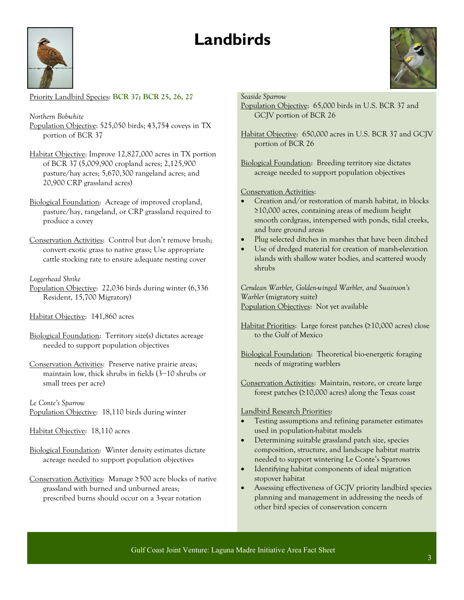# **Landbirds**



Priority Landbird Species: **BCR 37; BCR 25, 26, 27**

*Northern Bobwhite*  Population Objective: 525,050 birds; 43,754 coveys in TX portion of BCR 37

Habitat Objective: Improve 12,827,000 acres in TX portion of BCR 37 (5,009,900 cropland acres; 2,125,900 pasture/hay acres; 5,670,300 rangeland acres; and 20,900 CRP grassland acres)

Biological Foundation: Acreage of improved cropland, pasture/hay, rangeland, or CRP grassland required to produce a covey

Conservation Activities:Control but don't remove brush; convert exotic grass to native grass; Use appropriate cattle stocking rate to ensure adequate nesting cover

#### *Loggerhead Shrike*

Population Objective:22,036 birds during winter (6,336 Resident, 15,700 Migratory)

Habitat Objective:141,860 acres

Biological Foundation: Territory size(s) dictates acreage needed to support population objectives

Conservation Activities:Preserve native prairie areas; maintain low, thick shrubs in fields (3−10 shrubs or small trees per acre)

*Le Conte's Sparrow*  Population Objective:18,110 birds during winter

Habitat Objective:18,110 acres

Biological Foundation: Winter density estimates dictate acreage needed to support population objectives

Conservation Activities:Manage ≥500 acre blocks of native grassland with burned and unburned areas; prescribed burns should occur on a 3-year rotation

#### *Seaside Sparrow*

- Population Objective:65,000 birds in U.S. BCR 37 and GCJV portion of BCR 26
- Habitat Objective:650,000 acres in U.S. BCR 37 and GCJV portion of BCR 26

Biological Foundation: Breeding territory size dictates acreage needed to support population objectives

### Conservation Activities:

- Creation and/or restoration of marsh habitat, in blocks ≥10,000 acres, containing areas of medium height smooth cordgrass, interspersed with ponds, tidal creeks, and bare ground areas
- Plug selected ditches in marshes that have been ditched
- Use of dredged material for creation of marsh-elevation islands with shallow water bodies, and scattered woody shrubs

*Cerulean Warbler, Golden-winged Warbler, and Swainson's Warbler* (migratory suite) Population Objectives:Not yet available

Habitat Priorities:Large forest patches (≥10,000 acres) close to the Gulf of Mexico

Biological Foundation: Theoretical bio-energetic foraging needs of migrating warblers

Conservation Activities:Maintain, restore, or create large forest patches (≥10,000 acres) along the Texas coast

#### Landbird Research Priorities:

- Testing assumptions and refining parameter estimates used in population-habitat models
- Determining suitable grassland patch size, species composition, structure, and landscape habitat matrix needed to support wintering Le Conte's Sparrows
- Identifying habitat components of ideal migration stopover habitat
- Assessing effectiveness of GCJV priority landbird species planning and management in addressing the needs of other bird species of conservation concern